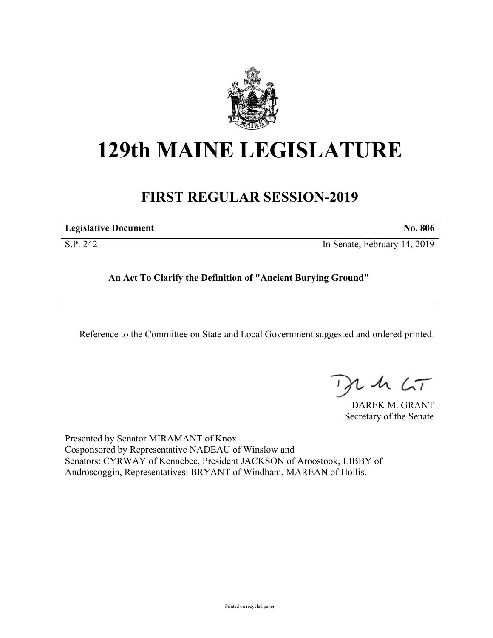

## **129th MAINE LEGISLATURE**

## **FIRST REGULAR SESSION-2019**

| .                           |  | .              |
|-----------------------------|--|----------------|
| <b>Legislative Document</b> |  | <b>No. 806</b> |
|                             |  |                |

S.P. 242 In Senate, February 14, 2019

**An Act To Clarify the Definition of "Ancient Burying Ground"**

Reference to the Committee on State and Local Government suggested and ordered printed.

, in  $\zeta$ T

DAREK M. GRANT Secretary of the Senate

Presented by Senator MIRAMANT of Knox. Cosponsored by Representative NADEAU of Winslow and Senators: CYRWAY of Kennebec, President JACKSON of Aroostook, LIBBY of Androscoggin, Representatives: BRYANT of Windham, MAREAN of Hollis.